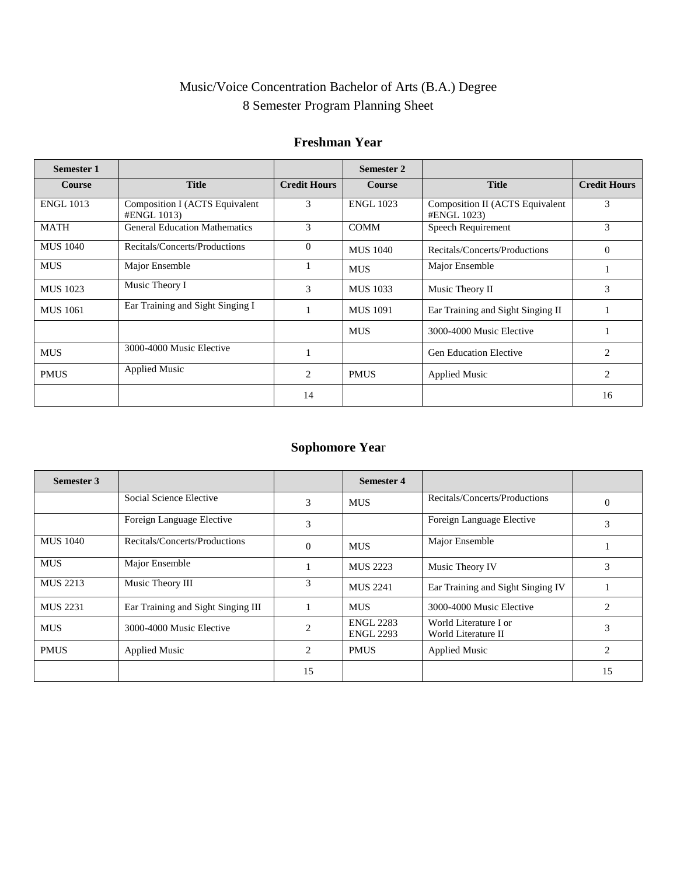# Music/Voice Concentration Bachelor of Arts (B.A.) Degree 8 Semester Program Planning Sheet

### **Freshman Year**

| <b>Semester 1</b> |                                                      |                     | Semester 2       |                                                |                     |
|-------------------|------------------------------------------------------|---------------------|------------------|------------------------------------------------|---------------------|
| <b>Course</b>     | <b>Title</b>                                         | <b>Credit Hours</b> | <b>Course</b>    | <b>Title</b>                                   | <b>Credit Hours</b> |
| <b>ENGL 1013</b>  | <b>Composition I (ACTS Equivalent</b><br>#ENGL 1013) | 3                   | <b>ENGL 1023</b> | Composition II (ACTS Equivalent<br>#ENGL 1023) | 3                   |
| <b>MATH</b>       | <b>General Education Mathematics</b>                 | 3                   | <b>COMM</b>      | Speech Requirement                             | 3                   |
| <b>MUS</b> 1040   | Recitals/Concerts/Productions                        | $\Omega$            | <b>MUS</b> 1040  | Recitals/Concerts/Productions                  | $\theta$            |
| <b>MUS</b>        | Major Ensemble                                       |                     | <b>MUS</b>       | Major Ensemble                                 | 1                   |
| <b>MUS</b> 1023   | Music Theory I                                       | 3                   | <b>MUS</b> 1033  | Music Theory II                                | 3                   |
| <b>MUS</b> 1061   | Ear Training and Sight Singing I                     |                     | <b>MUS 1091</b>  | Ear Training and Sight Singing II              |                     |
|                   |                                                      |                     | <b>MUS</b>       | 3000-4000 Music Elective                       |                     |
| <b>MUS</b>        | 3000-4000 Music Elective                             |                     |                  | <b>Gen Education Elective</b>                  | $\overline{2}$      |
| <b>PMUS</b>       | <b>Applied Music</b>                                 | 2                   | <b>PMUS</b>      | <b>Applied Music</b>                           | $\overline{2}$      |
|                   |                                                      | 14                  |                  |                                                | 16                  |

### **Sophomore Yea**r

| <b>Semester 3</b> |                                    |                | <b>Semester 4</b>                    |                                              |                |
|-------------------|------------------------------------|----------------|--------------------------------------|----------------------------------------------|----------------|
|                   | Social Science Elective            | 3              | <b>MUS</b>                           | Recitals/Concerts/Productions                | $\theta$       |
|                   | Foreign Language Elective          | 3              |                                      | Foreign Language Elective                    | 3              |
| <b>MUS</b> 1040   | Recitals/Concerts/Productions      | $\Omega$       | <b>MUS</b>                           | Major Ensemble                               |                |
| <b>MUS</b>        | Major Ensemble                     |                | <b>MUS 2223</b>                      | Music Theory IV                              | 3              |
| <b>MUS 2213</b>   | Music Theory III                   | 3              | <b>MUS 2241</b>                      | Ear Training and Sight Singing IV            |                |
| <b>MUS 2231</b>   | Ear Training and Sight Singing III |                | <b>MUS</b>                           | 3000-4000 Music Elective                     | $\mathfrak{D}$ |
| <b>MUS</b>        | 3000-4000 Music Elective           | $\mathfrak{D}$ | <b>ENGL 2283</b><br><b>ENGL 2293</b> | World Literature I or<br>World Literature II | 3              |
| <b>PMUS</b>       | <b>Applied Music</b>               | 2              | <b>PMUS</b>                          | <b>Applied Music</b>                         | $\overline{2}$ |
|                   |                                    | 15             |                                      |                                              | 15             |